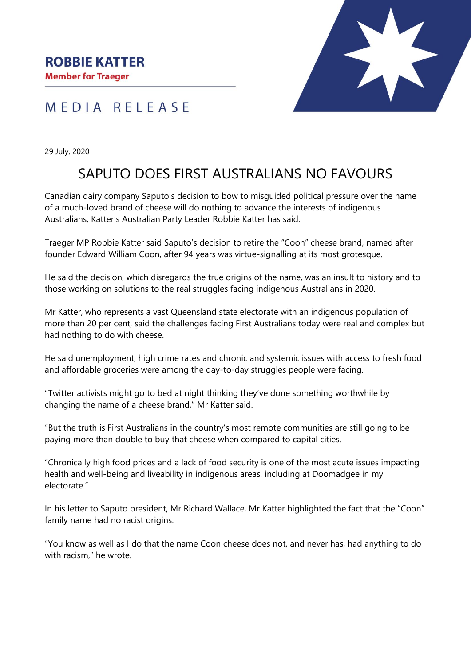## MEDIA RELEASE

29 July, 2020

## SAPUTO DOES FIRST AUSTRALIANS NO FAVOURS

Canadian dairy company Saputo's decision to bow to misguided political pressure over the name of a much-loved brand of cheese will do nothing to advance the interests of indigenous Australians, Katter's Australian Party Leader Robbie Katter has said.

Traeger MP Robbie Katter said Saputo's decision to retire the "Coon" cheese brand, named after founder Edward William Coon, after 94 years was virtue-signalling at its most grotesque.

He said the decision, which disregards the true origins of the name, was an insult to history and to those working on solutions to the real struggles facing indigenous Australians in 2020.

Mr Katter, who represents a vast Queensland state electorate with an indigenous population of more than 20 per cent, said the challenges facing First Australians today were real and complex but had nothing to do with cheese.

He said unemployment, high crime rates and chronic and systemic issues with access to fresh food and affordable groceries were among the day-to-day struggles people were facing.

"Twitter activists might go to bed at night thinking they've done something worthwhile by changing the name of a cheese brand," Mr Katter said.

"But the truth is First Australians in the country's most remote communities are still going to be paying more than double to buy that cheese when compared to capital cities.

"Chronically high food prices and a lack of food security is one of the most acute issues impacting health and well-being and liveability in indigenous areas, including at Doomadgee in my electorate."

In his letter to Saputo president, Mr Richard Wallace, Mr Katter highlighted the fact that the "Coon" family name had no racist origins.

"You know as well as I do that the name Coon cheese does not, and never has, had anything to do with racism," he wrote.